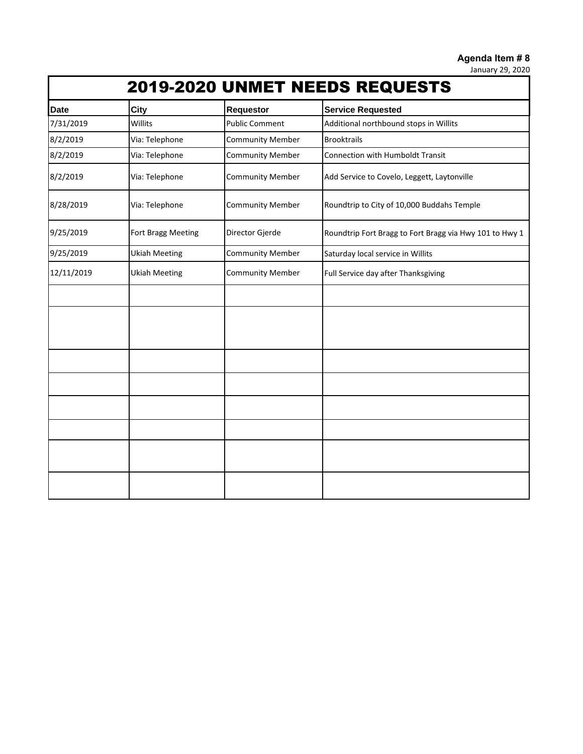**Agenda Item # 8**

January 29, 2020

|  |  |  | <b>2019-2020 UNMET NEEDS REQUESTS</b> |  |
|--|--|--|---------------------------------------|--|
|--|--|--|---------------------------------------|--|

| <b>Date</b> | City                 | <b>Requestor</b>        | <b>Service Requested</b>                                |  |  |  |
|-------------|----------------------|-------------------------|---------------------------------------------------------|--|--|--|
| 7/31/2019   | Willits              | <b>Public Comment</b>   | Additional northbound stops in Willits                  |  |  |  |
| 8/2/2019    | Via: Telephone       | <b>Community Member</b> | <b>Brooktrails</b>                                      |  |  |  |
| 8/2/2019    | Via: Telephone       | <b>Community Member</b> | Connection with Humboldt Transit                        |  |  |  |
| 8/2/2019    | Via: Telephone       | <b>Community Member</b> | Add Service to Covelo, Leggett, Laytonville             |  |  |  |
| 8/28/2019   | Via: Telephone       | <b>Community Member</b> | Roundtrip to City of 10,000 Buddahs Temple              |  |  |  |
| 9/25/2019   | Fort Bragg Meeting   | Director Gjerde         | Roundtrip Fort Bragg to Fort Bragg via Hwy 101 to Hwy 1 |  |  |  |
| 9/25/2019   | <b>Ukiah Meeting</b> | <b>Community Member</b> | Saturday local service in Willits                       |  |  |  |
| 12/11/2019  | <b>Ukiah Meeting</b> | <b>Community Member</b> | Full Service day after Thanksgiving                     |  |  |  |
|             |                      |                         |                                                         |  |  |  |
|             |                      |                         |                                                         |  |  |  |
|             |                      |                         |                                                         |  |  |  |
|             |                      |                         |                                                         |  |  |  |
|             |                      |                         |                                                         |  |  |  |
|             |                      |                         |                                                         |  |  |  |
|             |                      |                         |                                                         |  |  |  |
|             |                      |                         |                                                         |  |  |  |